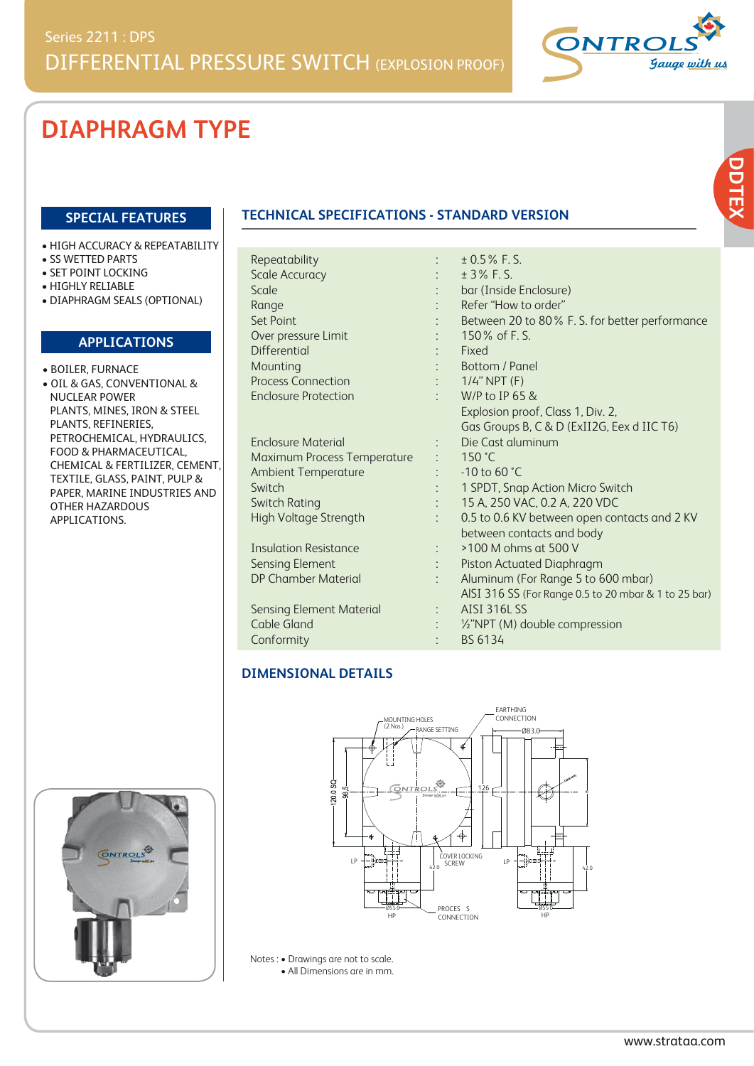

# **DIAPHRAGM TYPE**

#### **SPECIAL FEATURES**

- HIGH ACCURACY & REPEATABILITY
- SS WETTED PARTS
- SET POINT LOCKING
- HIGHLY RELIABLE
- DIAPHRAGM SEALS (OPTIONAL)

#### **APPLICATIONS**

- BOILER, FURNACE
- OIL & GAS, CONVENTIONAL & NUCLEAR POWER PLANTS, MINES, IRON & STEEL PLANTS, REFINERIES, PETROCHEMICAL, HYDRAULICS, FOOD & PHARMACEUTICAL, CHEMICAL & FERTILIZER, CEMENT, TEXTILE, GLASS, PAINT, PULP & PAPER, MARINE INDUSTRIES AND OTHER HAZARDOUS APPLICATIONS.

### **TECHNICAL SPECIFICATIONS - STANDARD VERSION**

| Repeatability                   |                      | $± 0.5\%$ F.S.                                       |
|---------------------------------|----------------------|------------------------------------------------------|
| <b>Scale Accuracy</b>           |                      | ± 3% F.S.                                            |
| Scale                           |                      | bar (Inside Enclosure)                               |
| Range                           |                      | Refer "How to order"                                 |
| Set Point                       |                      | Between 20 to 80% F. S. for better performance       |
| Over pressure Limit             |                      | 150% of F.S.                                         |
| <b>Differential</b>             |                      | Fixed                                                |
| Mounting                        |                      | Bottom / Panel                                       |
| <b>Process Connection</b>       |                      | $1/4$ " NPT (F)                                      |
| <b>Enclosure Protection</b>     |                      | W/P to IP 65 &                                       |
|                                 |                      | Explosion proof, Class 1, Div. 2,                    |
|                                 |                      | Gas Groups B, C & D (ExII2G, Eex d IIC T6)           |
| <b>Enclosure Material</b>       | $\ddot{\phantom{0}}$ | Die Cast aluminum                                    |
| Maximum Process Temperature     |                      | 150 $^{\circ}$ C                                     |
| <b>Ambient Temperature</b>      |                      | $-10$ to 60 $°C$                                     |
| Switch                          |                      | 1 SPDT, Snap Action Micro Switch                     |
| <b>Switch Rating</b>            |                      | 15 A, 250 VAC, 0.2 A, 220 VDC                        |
| High Voltage Strength           | $\ddot{\phantom{0}}$ | 0.5 to 0.6 KV between open contacts and 2 KV         |
|                                 |                      | between contacts and body                            |
| <b>Insulation Resistance</b>    |                      | >100 M ohms at 500 V                                 |
| <b>Sensing Element</b>          | $\ddot{\cdot}$       | Piston Actuated Diaphragm                            |
| <b>DP Chamber Material</b>      |                      | Aluminum (For Range 5 to 600 mbar)                   |
|                                 |                      | AISI 316 SS (For Range 0.5 to 20 mbar & 1 to 25 bar) |
| <b>Sensing Element Material</b> |                      | <b>AISI 316L SS</b>                                  |
| <b>Cable Gland</b>              |                      | 1/2"NPT (M) double compression                       |
| Conformity                      |                      | BS 6134                                              |

#### **DIMENSIONAL DETAILS**





Notes : • Drawings are not to scale. • All Dimensions are in mm.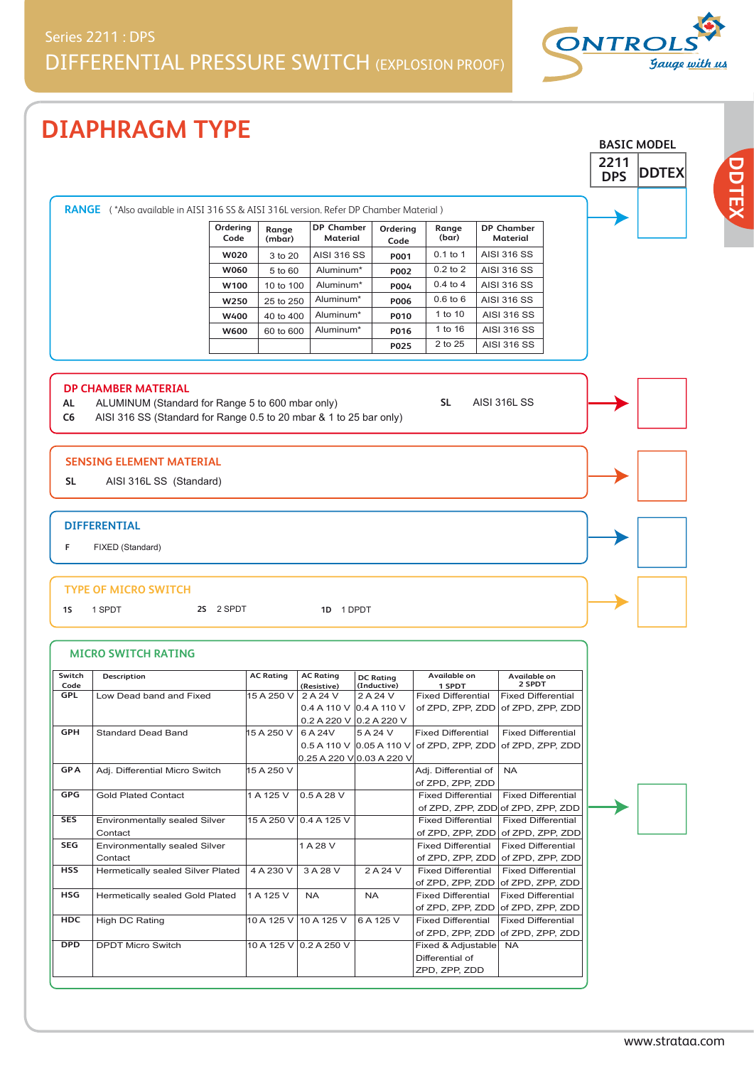## Series 2211 : DPS DIFFERENTIAL PRESSURE SWITCH (EXPLOSION PROOF)

**DIAPHRAGM TYPE**





**DDTEX**